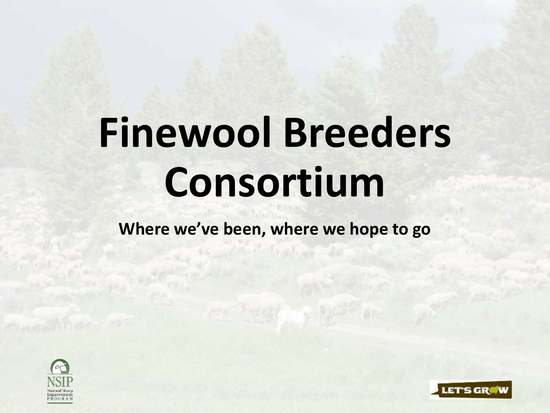# **Finewool Breeders Consortium**

**Where we've been, where we hope to go**



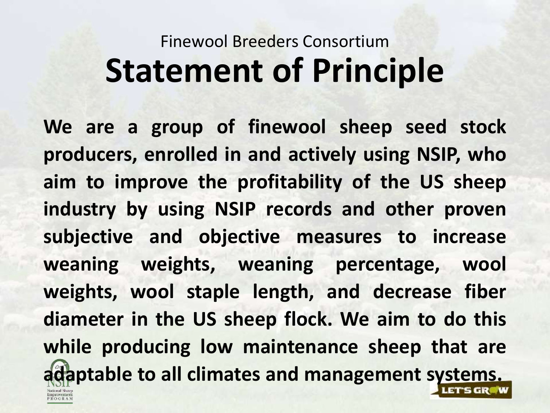## Finewool Breeders Consortium **Statement of Principle**

**We are a group of finewool sheep seed stock producers, enrolled in and actively using NSIP, who aim to improve the profitability of the US sheep industry by using NSIP records and other proven subjective and objective measures to increase weaning weights, weaning percentage, wool weights, wool staple length, and decrease fiber diameter in the US sheep flock. We aim to do this while producing low maintenance sheep that are adaptable to all climates and management systems.**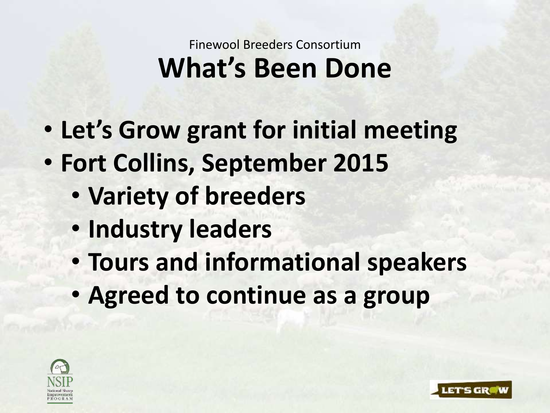#### Finewool Breeders Consortium **What's Been Done**

- **Let's Grow grant for initial meeting**
- **Fort Collins, September 2015**
	- **Variety of breeders**
	- **Industry leaders**
	- **Tours and informational speakers**

LET'S GR

• **Agreed to continue as a group**

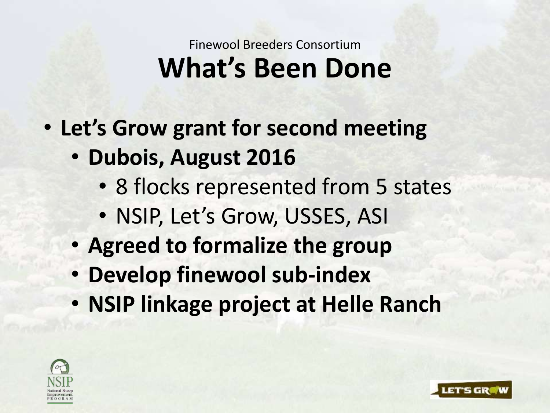#### Finewool Breeders Consortium **What's Been Done**

- **Let's Grow grant for second meeting**
	- **Dubois, August 2016**
		- 8 flocks represented from 5 states
		- NSIP, Let's Grow, USSES, ASI
	- **Agreed to formalize the group**
	- **Develop finewool sub-index**
	- **NSIP linkage project at Helle Ranch**

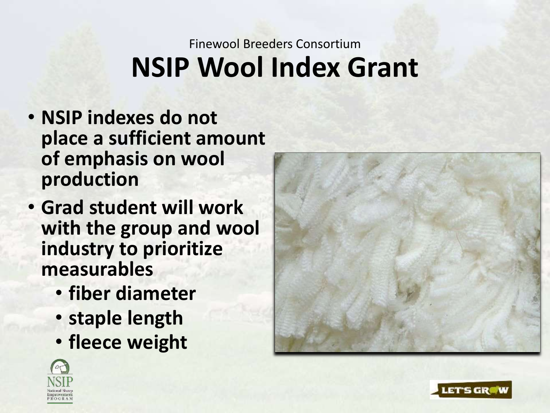### Finewool Breeders Consortium **NSIP Wool Index Grant**

- **NSIP indexes do not place a sufficient amount of emphasis on wool production**
- **Grad student will work with the group and wool industry to prioritize measurables**
	- **fiber diameter**
	- **staple length**
	- **fleece weight**





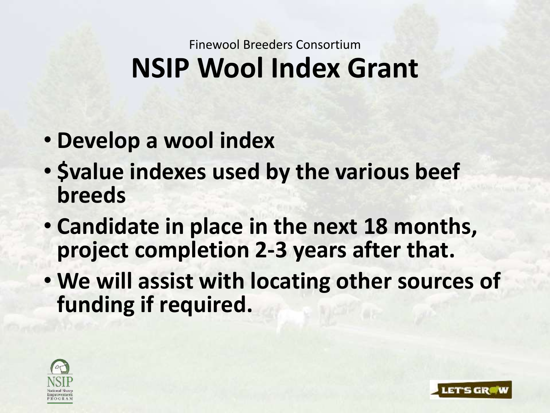#### Finewool Breeders Consortium **NSIP Wool Index Grant**

- **Develop a wool index**
- **\$value indexes used by the various beef breeds**
- **Candidate in place in the next 18 months, project completion 2-3 years after that.**
- **We will assist with locating other sources of funding if required.**

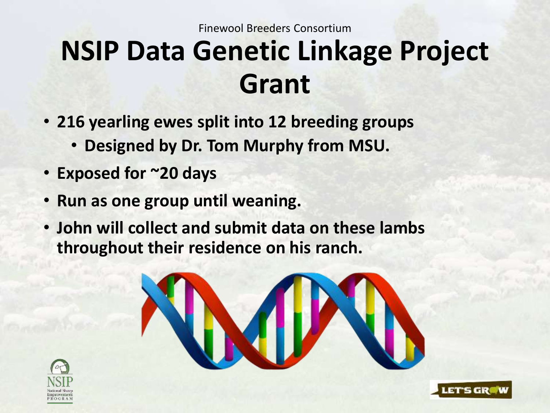Finewool Breeders Consortium

## **NSIP Data Genetic Linkage Project Grant**

- **216 yearling ewes split into 12 breeding groups** 
	- **Designed by Dr. Tom Murphy from MSU.**
- **Exposed for ~20 days**
- **Run as one group until weaning.**
- **John will collect and submit data on these lambs throughout their residence on his ranch.**





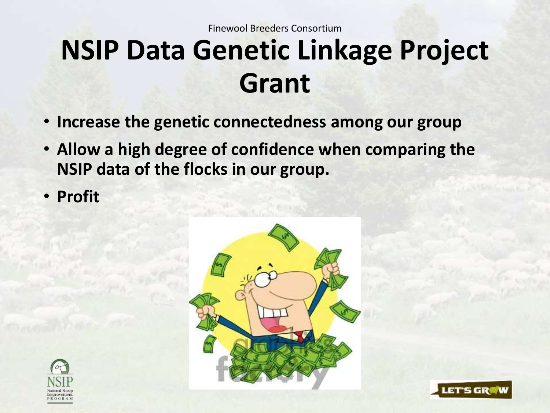## **NSIP Data Genetic Linkage Project Grant**

- **Increase the genetic connectedness among our group**
- **Allow a high degree of confidence when comparing the NSIP data of the flocks in our group.**
- **Profit**



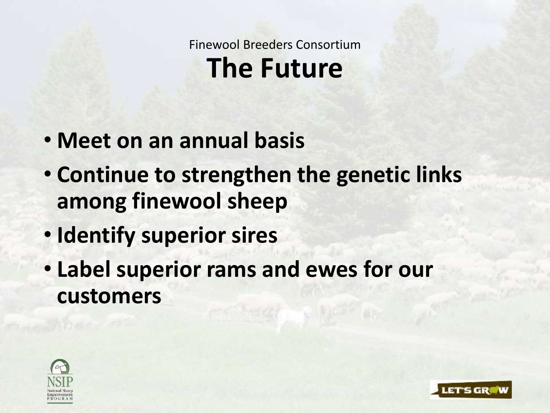Finewool Breeders Consortium **The Future**

- **Meet on an annual basis**
- **Continue to strengthen the genetic links among finewool sheep**
- **Identify superior sires**
- **Label superior rams and ewes for our customers**

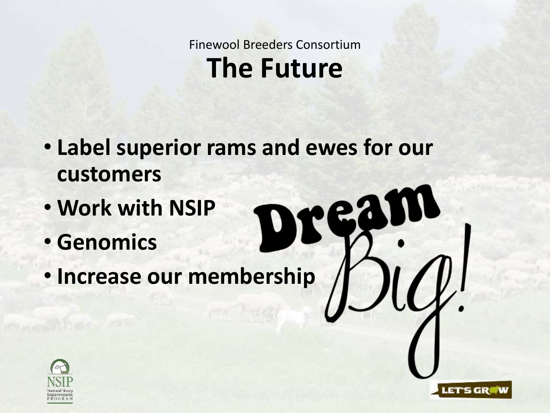Finewool Breeders Consortium **The Future**

D

LET'S GROW

- **Label superior rams and ewes for our customers**
- **Work with NSIP**
- **Genomics**
- **Increase our membership**

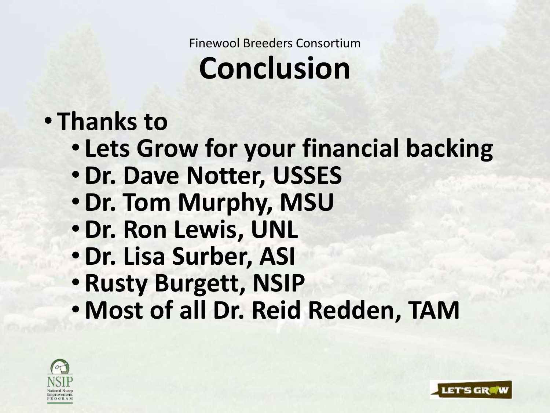Finewool Breeders Consortium

## **Conclusion**

### • **Thanks to**

- **Lets Grow for your financial backing**
- •**Dr. Dave Notter, USSES**
- •**Dr. Tom Murphy, MSU**
- •**Dr. Ron Lewis, UNL**
- •**Dr. Lisa Surber, ASI**
- **Rusty Burgett, NSIP**
- **Most of all Dr. Reid Redden, TAM**